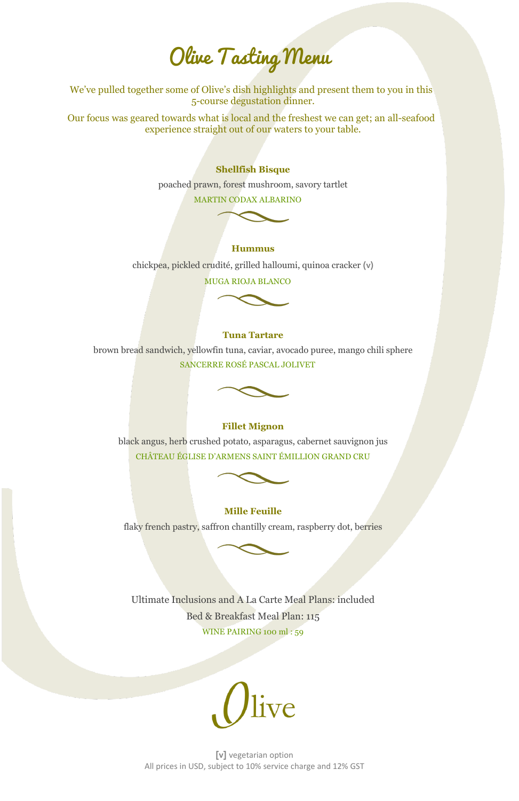# Olive Tasting Menu

We've pulled together some of Olive's dish highlights and present them to you in this 5-course degustation dinner.

Our focus was geared towards what is local and the freshest we can get; an all-seafood experience straight out of our waters to your table.

# **Shellfish Bisque**

poached prawn, forest mushroom, savory tartlet

MARTIN CODAX ALBARINO

# **Hummus**

chickpea, pickled crudité, grilled halloumi, quinoa cracker **(v)**

MUGA RIOJA BLANCO

# **Tuna Tartare**

brown bread sandwich, yellowfin tuna, caviar, avocado puree, mango chili sphere SANCERRE ROSÉ PASCAL JOLIVET



# **Fillet Mignon**

black angus, herb crushed potato, asparagus, cabernet sauvignon jus CHÂTEAU ÉGLISE D'ARMENS SAINT ÉMILLION GRAND CRU



# **Mille Feuille**

flaky french pastry, saffron chantilly cream, raspberry dot, berries



Ultimate Inclusions and A La Carte Meal Plans: included Bed & Breakfast Meal Plan: 115 WINE PAIRING 100 ml : 59



**[v]** vegetarian option All prices in USD, subject to 10% service charge and 12% GST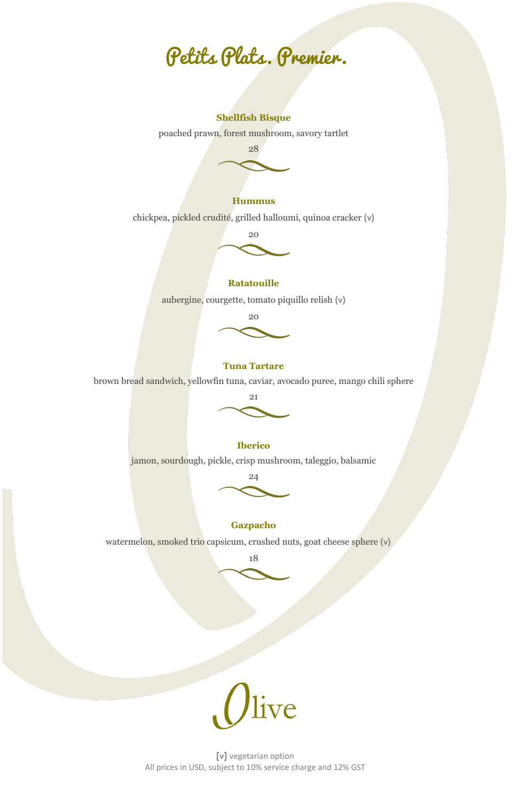Petits Plats. Premier.

#### **Shellfish Bisque**

poached prawn, forest mushroom, savory tartlet



# **Hummus**

chickpea, pickled crudité, grilled halloumi, quinoa cracker **(v)**

20

# **Ratatouille**

aubergine, courgette, tomato piquillo relish **(v)**



#### **Tuna Tartare**

brown bread sandwich, yellowfin tuna, caviar, avocado puree, mango chili sphere



#### **Iberico**

jamon, sourdough, pickle, crisp mushroom, taleggio, balsamic



# **Gazpacho**

watermelon, smoked trio capsicum, crushed nuts, goat cheese sphere **(v)**

18



**[v]** vegetarian option All prices in USD, subject to 10% service charge and 12% GST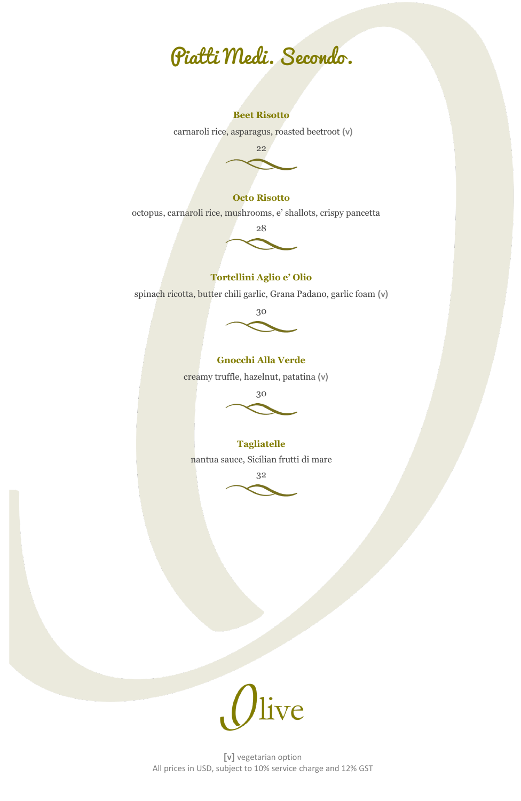

#### **Beet Risotto**

carnaroli rice, asparagus, roasted beetroot **(v)**



#### **Octo Risotto**

octopus, carnaroli rice, mushrooms, e' shallots, crispy pancetta



#### **Tortellini Aglio e' Olio**

spinach ricotta, butter chili garlic, Grana Padano, garlic foam **(v)**



# **Gnocchi Alla Verde**

creamy truffle, hazelnut, patatina **(v)**



# **Tagliatelle**

nantua sauce, Sicilian frutti di mare



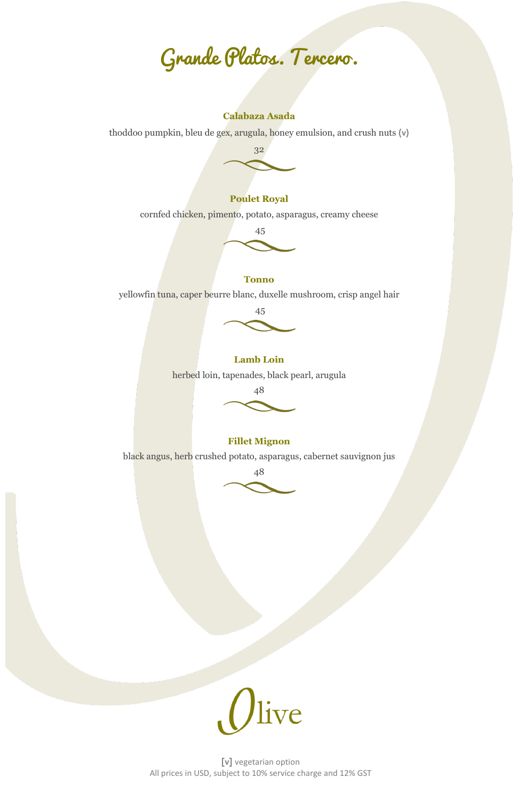Grande Platos. Tercero.

# **Calabaza Asada**

thoddoo pumpkin, bleu de gex, arugula, honey emulsion, and crush nuts **(v)**



### **Poulet Royal**

cornfed chicken, pimento, potato, asparagus, creamy cheese



#### **Tonno**

yellowfin tuna, caper beurre blanc, duxelle mushroom, crisp angel hair



#### **Lamb Loin**

herbed loin, tapenades, black pearl, arugula



# **Fillet Mignon**

black angus, herb crushed potato, asparagus, cabernet sauvignon jus